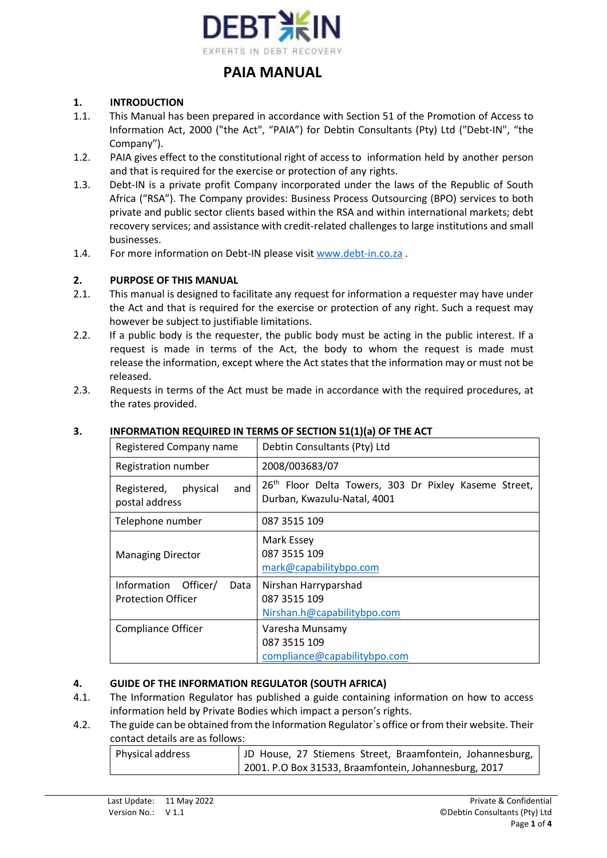

### **1. INTRODUCTION**

- 1.1. This Manual has been prepared in accordance with Section 51 of the Promotion of Access to Information Act, 2000 ("the Act", "PAIA") for Debtin Consultants (Pty) Ltd ("Debt-IN", "the Company").
- 1.2. PAIA gives effect to the constitutional right of access to information held by another person and that is required for the exercise or protection of any rights.
- 1.3. Debt-IN is a private profit Company incorporated under the laws of the Republic of South Africa ("RSA"). The Company provides: Business Process Outsourcing (BPO) services to both private and public sector clients based within the RSA and within international markets; debt recovery services; and assistance with credit-related challenges to large institutions and small businesses.
- 1.4. For more information on Debt-IN please visit [www.debt-in.co.za](http://www.debt-in.co.za/) .

#### **2. PURPOSE OF THIS MANUAL**

- 2.1. This manual is designed to facilitate any request for information a requester may have under the Act and that is required for the exercise or protection of any right. Such a request may however be subject to justifiable limitations.
- 2.2. If a public body is the requester, the public body must be acting in the public interest. If a request is made in terms of the Act, the body to whom the request is made must release the information, except where the Act states that the information may or must not be released.
- 2.3. Requests in terms of the Act must be made in accordance with the required procedures, at the rates provided.

| Registered Company name                                   | Debtin Consultants (Pty) Ltd                                                                     |  |
|-----------------------------------------------------------|--------------------------------------------------------------------------------------------------|--|
| Registration number                                       | 2008/003683/07                                                                                   |  |
| and<br>Registered,<br>physical<br>postal address          | 26 <sup>th</sup> Floor Delta Towers, 303 Dr Pixley Kaseme Street,<br>Durban, Kwazulu-Natal, 4001 |  |
| Telephone number                                          | 087 3515 109                                                                                     |  |
| <b>Managing Director</b>                                  | Mark Essey<br>087 3515 109<br>mark@capabilitybpo.com                                             |  |
| Information Officer/<br>Data<br><b>Protection Officer</b> | Nirshan Harryparshad<br>087 3515 109<br>Nirshan.h@capabilitybpo.com                              |  |
| <b>Compliance Officer</b>                                 | Varesha Munsamy<br>087 3515 109<br>compliance@capabilitybpo.com                                  |  |

#### **3. INFORMATION REQUIRED IN TERMS OF SECTION 51(1)(a) OF THE ACT**

#### **4. GUIDE OF THE INFORMATION REGULATOR (SOUTH AFRICA)**

- 4.1. The Information Regulator has published a guide containing information on how to access information held by Private Bodies which impact a person's rights.
- 4.2. The guide can be obtained from the Information Regulator`s office or from their website. Their contact details are as follows:

| Physical address | JD House, 27 Stiemens Street, Braamfontein, Johannesburg, |
|------------------|-----------------------------------------------------------|
|                  | 2001. P.O Box 31533, Braamfontein, Johannesburg, 2017     |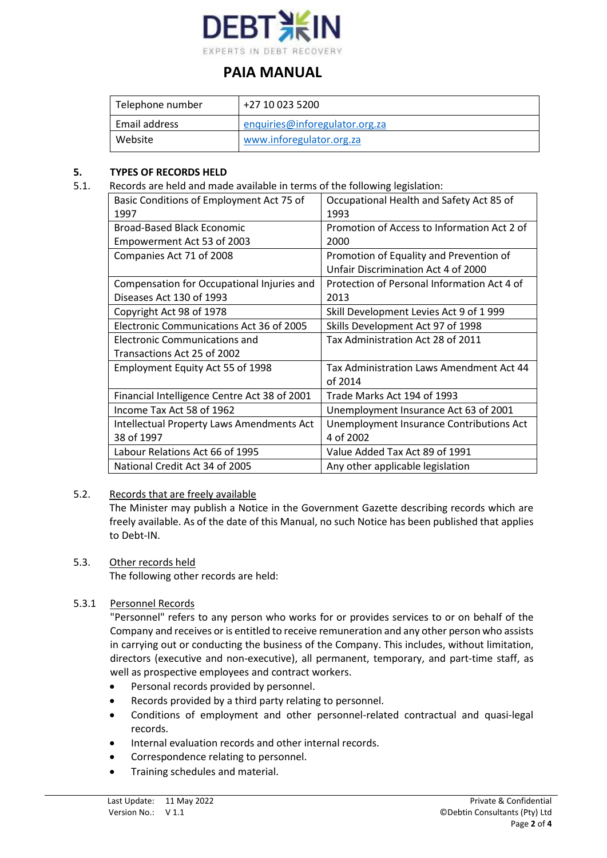

| Telephone number | +27 10 023 5200                |
|------------------|--------------------------------|
| Email address    | enquiries@inforegulator.org.za |
| Website          | www.inforegulator.org.za       |

### **5. TYPES OF RECORDS HELD**

5.1. Records are held and made available in terms of the following legislation:

| Basic Conditions of Employment Act 75 of<br>1997 | Occupational Health and Safety Act 85 of<br>1993 |
|--------------------------------------------------|--------------------------------------------------|
| <b>Broad-Based Black Economic</b>                | Promotion of Access to Information Act 2 of      |
|                                                  |                                                  |
| Empowerment Act 53 of 2003                       | 2000                                             |
| Companies Act 71 of 2008                         | Promotion of Equality and Prevention of          |
|                                                  | Unfair Discrimination Act 4 of 2000              |
| Compensation for Occupational Injuries and       | Protection of Personal Information Act 4 of      |
| Diseases Act 130 of 1993                         | 2013                                             |
| Copyright Act 98 of 1978                         | Skill Development Levies Act 9 of 1999           |
| Electronic Communications Act 36 of 2005         | Skills Development Act 97 of 1998                |
| Electronic Communications and                    | Tax Administration Act 28 of 2011                |
| Transactions Act 25 of 2002                      |                                                  |
| Employment Equity Act 55 of 1998                 | Tax Administration Laws Amendment Act 44         |
|                                                  | of 2014                                          |
| Financial Intelligence Centre Act 38 of 2001     | Trade Marks Act 194 of 1993                      |
| Income Tax Act 58 of 1962                        | Unemployment Insurance Act 63 of 2001            |
| <b>Intellectual Property Laws Amendments Act</b> | Unemployment Insurance Contributions Act         |
| 38 of 1997                                       | 4 of 2002                                        |
| Labour Relations Act 66 of 1995                  | Value Added Tax Act 89 of 1991                   |
| National Credit Act 34 of 2005                   | Any other applicable legislation                 |

# 5.2. Records that are freely available

The Minister may publish a Notice in the Government Gazette describing records which are freely available. As of the date of this Manual, no such Notice has been published that applies to Debt-IN.

#### 5.3. Other records held

The following other records are held:

# 5.3.1 Personnel Records

"Personnel" refers to any person who works for or provides services to or on behalf of the Company and receives or is entitled to receive remuneration and any other person who assists in carrying out or conducting the business of the Company. This includes, without limitation, directors (executive and non-executive), all permanent, temporary, and part-time staff, as well as prospective employees and contract workers.

- Personal records provided by personnel.
- Records provided by a third party relating to personnel.
- Conditions of employment and other personnel-related contractual and quasi-legal records.
- Internal evaluation records and other internal records.
- Correspondence relating to personnel.
- Training schedules and material.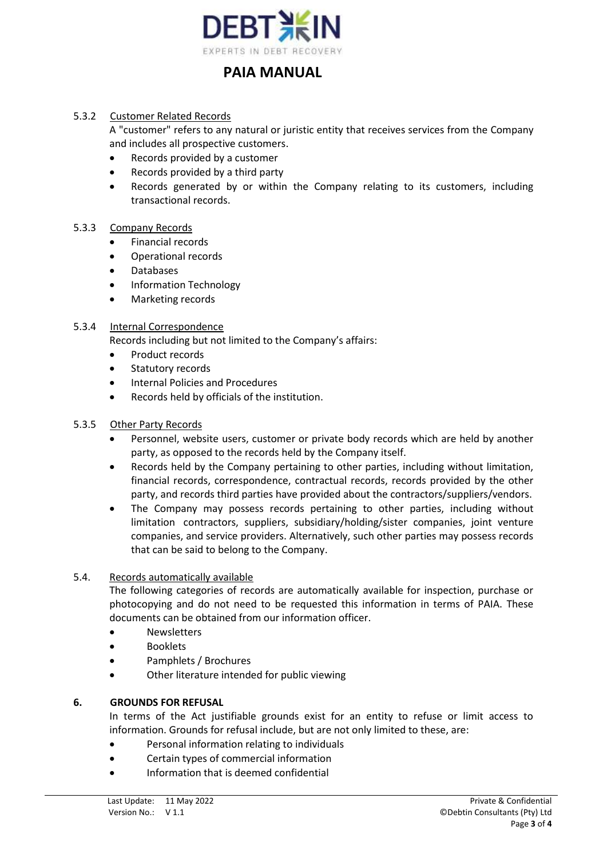

#### 5.3.2 Customer Related Records

A "customer" refers to any natural or juristic entity that receives services from the Company and includes all prospective customers.

- Records provided by a customer
- Records provided by a third party
- Records generated by or within the Company relating to its customers, including transactional records.

#### 5.3.3 Company Records

- Financial records
- Operational records
- Databases
- Information Technology
- Marketing records

#### 5.3.4 Internal Correspondence

Records including but not limited to the Company's affairs:

- Product records
- Statutory records
- Internal Policies and Procedures
- Records held by officials of the institution.

#### 5.3.5 Other Party Records

- Personnel, website users, customer or private body records which are held by another party, as opposed to the records held by the Company itself.
- Records held by the Company pertaining to other parties, including without limitation, financial records, correspondence, contractual records, records provided by the other party, and records third parties have provided about the contractors/suppliers/vendors.
- The Company may possess records pertaining to other parties, including without limitation contractors, suppliers, subsidiary/holding/sister companies, joint venture companies, and service providers. Alternatively, such other parties may possess records that can be said to belong to the Company.

#### 5.4. Records automatically available

The following categories of records are automatically available for inspection, purchase or photocopying and do not need to be requested this information in terms of PAIA. These documents can be obtained from our information officer.

- Newsletters
- Booklets
- Pamphlets / Brochures
- Other literature intended for public viewing

### **6. GROUNDS FOR REFUSAL**

In terms of the Act justifiable grounds exist for an entity to refuse or limit access to information. Grounds for refusal include, but are not only limited to these, are:

- Personal information relating to individuals
- Certain types of commercial information
- Information that is deemed confidential